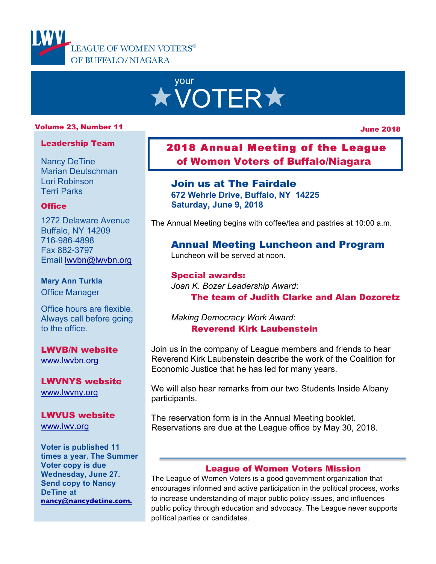

# your **XVOTER\***

#### Volume 23, Number 11

June 2018

#### Leadership Team

Nancy DeTine Marian Deutschman Lori Robinson Terri Parks

#### **Office**

1272 Delaware Avenue Buffalo, NY 14209 716-986-4898 Fax 882-3797 Email lwvbn@lwvbn.org

## **Mary Ann Turkla**

Office Manager

Office hours are flexible. Always call before going to the office.

LWVB/N website www.lwvbn.org

LWVNYS website www.lwvny.org

LWVUS website www.lwv.org

**Voter is published 11 times a year. The Summer Voter copy is due Wednesday, June 27. Send copy to Nancy DeTine at nancy@nancydetine.com.**

## 2018 Annual Meeting of the League of Women Voters of Buffalo/Niagara

## Join us at The Fairdale

**672 Wehrle Drive, Buffalo, NY 14225 Saturday, June 9, 2018**

The Annual Meeting begins with coffee/tea and pastries at 10:00 a.m.

## Annual Meeting Luncheon and Program

Luncheon will be served at noon.

Special awards: *Joan K. Bozer Leadership Award*: The team of Judith Clarke and Alan Dozoretz

*Making Democracy Work Award*: Reverend Kirk Laubenstein

l,

Join us in the company of League members and friends to hear Reverend Kirk Laubenstein describe the work of the Coalition for Economic Justice that he has led for many years.

We will also hear remarks from our two Students Inside Albany participants.

The reservation form is in the Annual Meeting booklet. Reservations are due at the League office by May 30, 2018.

#### League of Women Voters Mission

The League of Women Voters is a good government organization that encourages informed and active participation in the political process, works to increase understanding of major public policy issues, and influences public policy through education and advocacy. The League never supports political parties or candidates.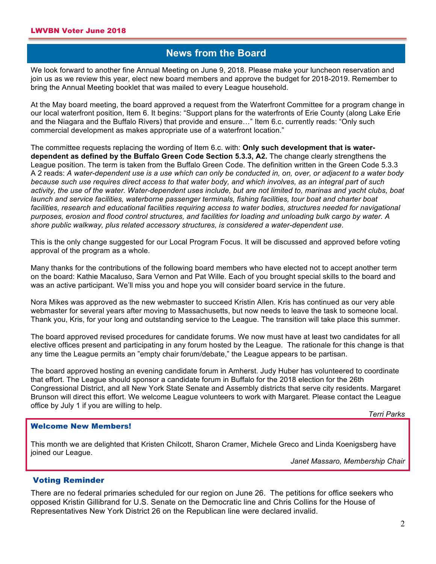#### **Shews from the Board**

**A** We look forward to another fine Annual Meeting on June 9, 2018. Please make your luncheon reservation and join us as we review this year, elect new board members and approve the budget for 2018-2019. Remember to bring the Annual Meeting booklet that was mailed to every League household.

At the May board meeting, the board approved a request from the Waterfront Committee for a program change in our local waterfront position, Item 6. It begins: "Support plans for the waterfronts of Erie County (along Lake Erie and the Niagara and the Buffalo Rivers) that provide and ensure…" Item 6.c. currently reads: "Only such commercial development as makes appropriate use of a waterfront location."

The committee requests replacing the wording of Item 6.c. with: **Only such development that is waterdependent as defined by the Buffalo Green Code Section 5.3.3, A2.** The change clearly strengthens the League position. The term is taken from the Buffalo Green Code. The definition written in the Green Code 5.3.3 A 2 reads: *A water-dependent use is a use which can only be conducted in, on, over, or adjacent to a water body because such use requires direct access to that water body, and which involves, as an integral part of such activity, the use of the water. Water-dependent uses include, but are not limited to, marinas and yacht clubs, boat launch and service facilities, waterborne passenger terminals, fishing facilities, tour boat and charter boat*  facilities, research and educational facilities requiring access to water bodies, structures needed for navigational *purposes, erosion and flood control structures, and facilities for loading and unloading bulk cargo by water. A shore public walkway, plus related accessory structures, is considered a water-dependent use*.

This is the only change suggested for our Local Program Focus. It will be discussed and approved before voting approval of the program as a whole.

Many thanks for the contributions of the following board members who have elected not to accept another term on the board: Kathie Macaluso, Sara Vernon and Pat Wille. Each of you brought special skills to the board and was an active participant. We'll miss you and hope you will consider board service in the future.

Nora Mikes was approved as the new webmaster to succeed Kristin Allen. Kris has continued as our very able webmaster for several years after moving to Massachusetts, but now needs to leave the task to someone local. Thank you, Kris, for your long and outstanding service to the League. The transition will take place this summer.

The board approved revised procedures for candidate forums. We now must have at least two candidates for all elective offices present and participating in any forum hosted by the League. The rationale for this change is that any time the League permits an "empty chair forum/debate," the League appears to be partisan.

The board approved hosting an evening candidate forum in Amherst. Judy Huber has volunteered to coordinate that effort. The League should sponsor a candidate forum in Buffalo for the 2018 election for the 26th Congressional District, and all New York State Senate and Assembly districts that serve city residents. Margaret Brunson will direct this effort. We welcome League volunteers to work with Margaret. Please contact the League office by July 1 if you are willing to help.

*Terri Parks*

#### Welcome New Members!

This month we are delighted that Kristen Chilcott, Sharon Cramer, Michele Greco and Linda Koenigsberg have joined our League.

*Janet Massaro, Membership Chair*

#### Voting Reminder

There are no federal primaries scheduled for our region on June 26. The petitions for office seekers who opposed Kristin Gillibrand for U.S. Senate on the Democratic line and Chris Collins for the House of Representatives New York District 26 on the Republican line were declared invalid.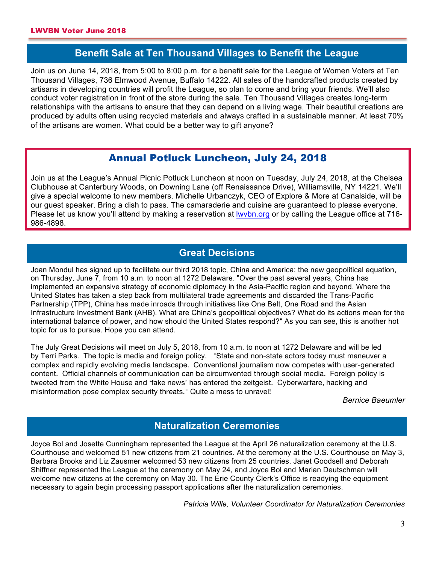## **Benefit Sale at Ten Thousand Villages to Benefit the League**

Join us on June 14, 2018, from 5:00 to 8:00 p.m. for a benefit sale for the League of Women Voters at Ten Thousand Villages, 736 Elmwood Avenue, Buffalo 14222. All sales of the handcrafted products created by artisans in developing countries will profit the League, so plan to come and bring your friends. We'll also conduct voter registration in front of the store during the sale. Ten Thousand Villages creates long-term relationships with the artisans to ensure that they can depend on a living wage. Their beautiful creations are produced by adults often using recycled materials and always crafted in a sustainable manner. At least 70% of the artisans are women. What could be a better way to gift anyone?

## Annual Potluck Luncheon, July 24, 2018

Join us at the League's Annual Picnic Potluck Luncheon at noon on Tuesday, July 24, 2018, at the Chelsea Clubhouse at Canterbury Woods, on Downing Lane (off Renaissance Drive), Williamsville, NY 14221. We'll give a special welcome to new members. Michelle Urbanczyk, CEO of Explore & More at Canalside, will be our guest speaker. Bring a dish to pass. The camaraderie and cuisine are guaranteed to please everyone. Please let us know you'll attend by making a reservation at lwvbn.org or by calling the League office at 716- 986-4898.

#### **Great Decisions**

Joan Mondul has signed up to facilitate our third 2018 topic, China and America: the new geopolitical equation, on Thursday, June 7, from 10 a.m. to noon at 1272 Delaware. "Over the past several years, China has implemented an expansive strategy of economic diplomacy in the Asia-Pacific region and beyond. Where the United States has taken a step back from multilateral trade agreements and discarded the Trans-Pacific Partnership (TPP), China has made inroads through initiatives like One Belt, One Road and the Asian Infrastructure Investment Bank (AHB). What are China's geopolitical objectives? What do its actions mean for the international balance of power, and how should the United States respond?" As you can see, this is another hot topic for us to pursue. Hope you can attend.

The July Great Decisions will meet on July 5, 2018, from 10 a.m. to noon at 1272 Delaware and will be led by Terri Parks. The topic is media and foreign policy. "State and non-state actors today must maneuver a complex and rapidly evolving media landscape. Conventional journalism now competes with user-generated content. Official channels of communication can be circumvented through social media. Foreign policy is tweeted from the White House and 'fake news' has entered the zeitgeist. Cyberwarfare, hacking and misinformation pose complex security threats." Quite a mess to unravel!

*Bernice Baeumler*

## **Naturalization Ceremonies**

Joyce Bol and Josette Cunningham represented the League at the April 26 naturalization ceremony at the U.S. Courthouse and welcomed 51 new citizens from 21 countries. At the ceremony at the U.S. Courthouse on May 3, Barbara Brooks and Liz Zausmer welcomed 53 new citizens from 25 countries. Janet Goodsell and Deborah Shiffner represented the League at the ceremony on May 24, and Joyce Bol and Marian Deutschman will welcome new citizens at the ceremony on May 30. The Erie County Clerk's Office is readying the equipment necessary to again begin processing passport applications after the naturalization ceremonies.

*Patricia Wille, Volunteer Coordinator for Naturalization Ceremonies*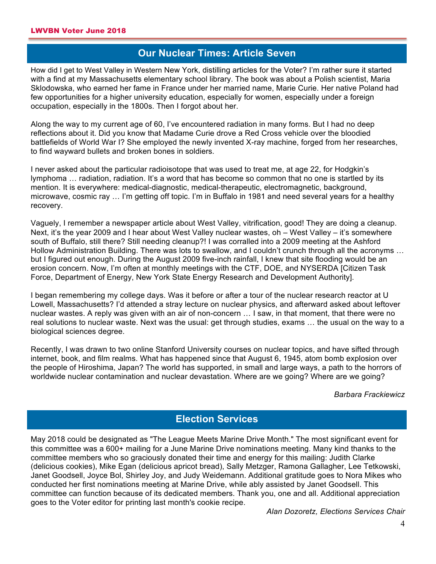### **Our Nuclear Times: Article Seven**

How did I get to West Valley in Western New York, distilling articles for the Voter? I'm rather sure it started with a find at my Massachusetts elementary school library. The book was about a Polish scientist, Maria Sklodowska, who earned her fame in France under her married name, Marie Curie. Her native Poland had few opportunities for a higher university education, especially for women, especially under a foreign occupation, especially in the 1800s. Then I forgot about her.

Along the way to my current age of 60, I've encountered radiation in many forms. But I had no deep reflections about it. Did you know that Madame Curie drove a Red Cross vehicle over the bloodied battlefields of World War I? She employed the newly invented X-ray machine, forged from her researches, to find wayward bullets and broken bones in soldiers.

I never asked about the particular radioisotope that was used to treat me, at age 22, for Hodgkin's lymphoma … radiation, radiation. It's a word that has become so common that no one is startled by its mention. It is everywhere: medical-diagnostic, medical-therapeutic, electromagnetic, background, microwave, cosmic ray … I'm getting off topic. I'm in Buffalo in 1981 and need several years for a healthy recovery.

Vaguely, I remember a newspaper article about West Valley, vitrification, good! They are doing a cleanup. Next, it's the year 2009 and I hear about West Valley nuclear wastes, oh – West Valley – it's somewhere south of Buffalo, still there? Still needing cleanup?! I was corralled into a 2009 meeting at the Ashford Hollow Administration Building. There was lots to swallow, and I couldn't crunch through all the acronyms … but I figured out enough. During the August 2009 five-inch rainfall, I knew that site flooding would be an erosion concern. Now, I'm often at monthly meetings with the CTF, DOE, and NYSERDA [Citizen Task Force, Department of Energy, New York State Energy Research and Development Authority].

I began remembering my college days. Was it before or after a tour of the nuclear research reactor at U Lowell, Massachusetts? I'd attended a stray lecture on nuclear physics, and afterward asked about leftover nuclear wastes. A reply was given with an air of non-concern … I saw, in that moment, that there were no real solutions to nuclear waste. Next was the usual: get through studies, exams … the usual on the way to a biological sciences degree.

Recently, I was drawn to two online Stanford University courses on nuclear topics, and have sifted through internet, book, and film realms. What has happened since that August 6, 1945, atom bomb explosion over the people of Hiroshima, Japan? The world has supported, in small and large ways, a path to the horrors of worldwide nuclear contamination and nuclear devastation. Where are we going? Where are we going?

#### *Barbara Frackiewicz*

### **Election Services**

May 2018 could be designated as "The League Meets Marine Drive Month." The most significant event for this committee was a 600+ mailing for a June Marine Drive nominations meeting. Many kind thanks to the committee members who so graciously donated their time and energy for this mailing: Judith Clarke (delicious cookies), Mike Egan (delicious apricot bread), Sally Metzger, Ramona Gallagher, Lee Tetkowski, Janet Goodsell, Joyce Bol, Shirley Joy, and Judy Weidemann. Additional gratitude goes to Nora Mikes who conducted her first nominations meeting at Marine Drive, while ably assisted by Janet Goodsell. This committee can function because of its dedicated members. Thank you, one and all. Additional appreciation goes to the Voter editor for printing last month's cookie recipe.

*Alan Dozoretz, Elections Services Chair*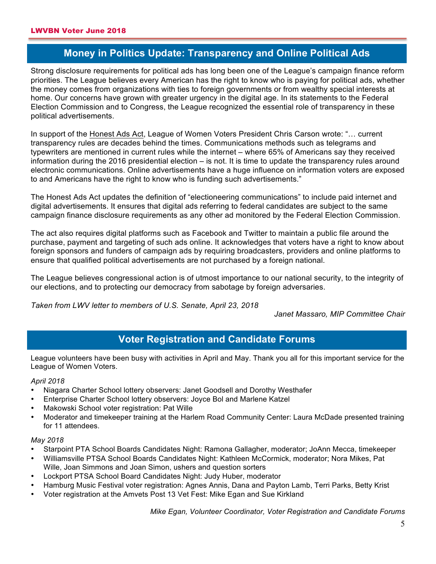## **Money in Politics Update: Transparency and Online Political Ads**

Strong disclosure requirements for political ads has long been one of the League's campaign finance reform priorities. The League believes every American has the right to know who is paying for political ads, whether the money comes from organizations with ties to foreign governments or from wealthy special interests at home. Our concerns have grown with greater urgency in the digital age. In its statements to the Federal Election Commission and to Congress, the League recognized the essential role of transparency in these political advertisements.

In support of the Honest Ads Act, League of Women Voters President Chris Carson wrote: "… current transparency rules are decades behind the times. Communications methods such as telegrams and typewriters are mentioned in current rules while the internet – where 65% of Americans say they received information during the 2016 presidential election – is not. It is time to update the transparency rules around electronic communications. Online advertisements have a huge influence on information voters are exposed to and Americans have the right to know who is funding such advertisements."

The Honest Ads Act updates the definition of "electioneering communications" to include paid internet and digital advertisements. It ensures that digital ads referring to federal candidates are subject to the same campaign finance disclosure requirements as any other ad monitored by the Federal Election Commission.

The act also requires digital platforms such as Facebook and Twitter to maintain a public file around the purchase, payment and targeting of such ads online. It acknowledges that voters have a right to know about foreign sponsors and funders of campaign ads by requiring broadcasters, providers and online platforms to ensure that qualified political advertisements are not purchased by a foreign national.

The League believes congressional action is of utmost importance to our national security, to the integrity of our elections, and to protecting our democracy from sabotage by foreign adversaries.

*Taken from LWV letter to members of U.S. Senate, April 23, 2018* 

*Janet Massaro, MIP Committee Chair* 

## **Voter Registration and Candidate Forums**

League volunteers have been busy with activities in April and May. Thank you all for this important service for the League of Women Voters.

#### *April 2018*

- Niagara Charter School lottery observers: Janet Goodsell and Dorothy Westhafer
- Enterprise Charter School lottery observers: Joyce Bol and Marlene Katzel
- Makowski School voter registration: Pat Wille
- Moderator and timekeeper training at the Harlem Road Community Center: Laura McDade presented training for 11 attendees.

#### *May 2018*

- Starpoint PTA School Boards Candidates Night: Ramona Gallagher, moderator; JoAnn Mecca, timekeeper
- Williamsville PTSA School Boards Candidates Night: Kathleen McCormick, moderator; Nora Mikes, Pat Wille, Joan Simmons and Joan Simon, ushers and question sorters
- Lockport PTSA School Board Candidates Night: Judy Huber, moderator
- Hamburg Music Festival voter registration: Agnes Annis, Dana and Payton Lamb, Terri Parks, Betty Krist
- Voter registration at the Amvets Post 13 Vet Fest: Mike Egan and Sue Kirkland

*Mike Egan, Volunteer Coordinator, Voter Registration and Candidate Forums*